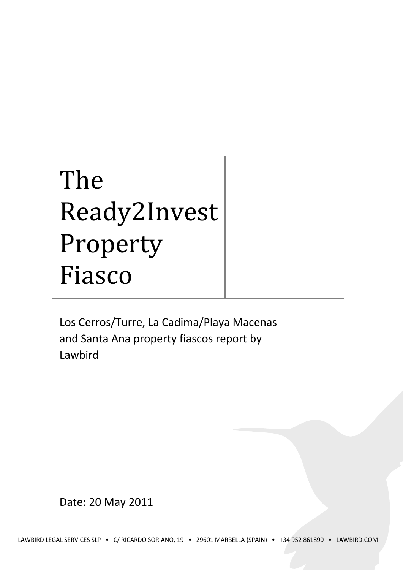# The Ready2Invest Property Fiasco

Los Cerros/Turre, La Cadima/Playa Macenas and Santa Ana property fiascos report by Lawbird

Date: 20 May 2011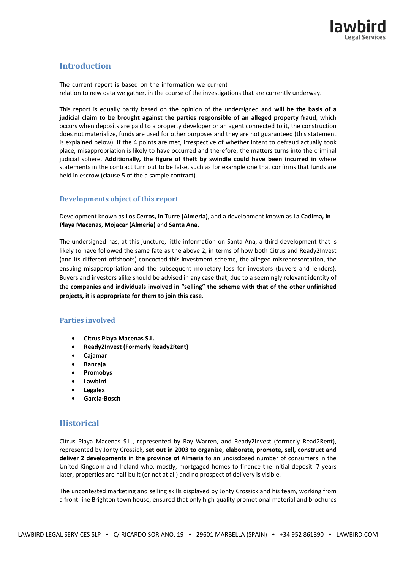# **Introduction**

The current report is based on the information we current relation to new data we gather, in the course of the investigations that are currently underway.

This report is equally partly based on the opinion of the undersigned and **will be the basis of a judicial claim to be brought against the parties responsible of an alleged property fraud**, which occurs when deposits are paid to a property developer or an agent connected to it, the construction does not materialize, funds are used for other purposes and they are not guaranteed (this statement is explained below). If the 4 points are met, irrespective of whether intent to defraud actually took place, misappropriation is likely to have occurred and therefore, the matters turns into the criminal judicial sphere. **Additionally, the figure of theft by swindle could have been incurred in** where statements in the contract turn out to be false, such as for example one that confirms that funds are held in escrow (clause 5 of the a sample contract).

## **Developments object of this report**

Development known as **Los Cerros, in Turre (Almería)**, and a development known as **La Cadima, in Playa Macenas**, **Mojacar (Almeria)** and **Santa Ana.** 

The undersigned has, at this juncture, little information on Santa Ana, a third development that is likely to have followed the same fate as the above 2, in terms of how both Citrus and Ready2Invest (and its different offshoots) concocted this investment scheme, the alleged misrepresentation, the ensuing misappropriation and the subsequent monetary loss for investors (buyers and lenders). Buyers and investors alike should be advised in any case that, due to a seemingly relevant identity of the **companies and individuals involved in "selling" the scheme with that of the other unfinished projects, it is appropriate for them to join this case**.

## **Parties involved**

- **Citrus Playa Macenas S.L.**
- **Ready2Invest (Formerly Ready2Rent)**
- **Cajamar**
- **Bancaja**
- **Promobys**
- **Lawbird**
- **Legalex**
- **Garcia-Bosch**

## **Historical**

Citrus Playa Macenas S.L., represented by Ray Warren, and Ready2invest (formerly Read2Rent), represented by Jonty Crossick, **set out in 2003 to organize, elaborate, promote, sell, construct and deliver 2 developments in the province of Almeria** to an undisclosed number of consumers in the United Kingdom and Ireland who, mostly, mortgaged homes to finance the initial deposit. 7 years later, properties are half built (or not at all) and no prospect of delivery is visible.

The uncontested marketing and selling skills displayed by Jonty Crossick and his team, working from a front-line Brighton town house, ensured that only high quality promotional material and brochures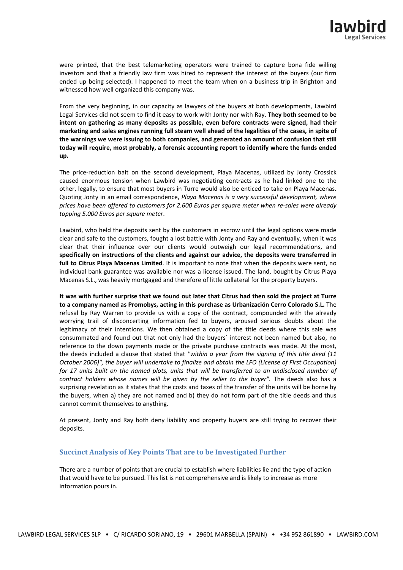were printed, that the best telemarketing operators were trained to capture bona fide willing investors and that a friendly law firm was hired to represent the interest of the buyers (our firm ended up being selected). I happened to meet the team when on a business trip in Brighton and witnessed how well organized this company was.

From the very beginning, in our capacity as lawyers of the buyers at both developments, Lawbird Legal Services did not seem to find it easy to work with Jonty nor with Ray. **They both seemed to be intent on gathering as many deposits as possible, even before contracts were signed, had their marketing and sales engines running full steam well ahead of the legalities of the cases, in spite of the warnings we were issuing to both companies, and generated an amount of confusion that still today will require, most probably, a forensic accounting report to identify where the funds ended up.**

The price-reduction bait on the second development, Playa Macenas, utilized by Jonty Crossick caused enormous tension when Lawbird was negotiating contracts as he had linked one to the other, legally, to ensure that most buyers in Turre would also be enticed to take on Playa Macenas. Quoting Jonty in an email correspondence, *Playa Macenas is a very successful development, where prices have been offered to customers for 2.600 Euros per square meter when re-sales were already topping 5.000 Euros per square meter*.

Lawbird, who held the deposits sent by the customers in escrow until the legal options were made clear and safe to the customers, fought a lost battle with Jonty and Ray and eventually, when it was clear that their influence over our clients would outweigh our legal recommendations, and **specifically on instructions of the clients and against our advice, the deposits were transferred in full to Citrus Playa Macenas Limited**. It is important to note that when the deposits were sent, no individual bank guarantee was available nor was a license issued. The land, bought by Citrus Playa Macenas S.L., was heavily mortgaged and therefore of little collateral for the property buyers.

**It was with further surprise that we found out later that Citrus had then sold the project at Turre to a company named as Promobys, acting in this purchase as Urbanización Cerro Colorado S.L.** The refusal by Ray Warren to provide us with a copy of the contract, compounded with the already worrying trail of disconcerting information fed to buyers, aroused serious doubts about the legitimacy of their intentions. We then obtained a copy of the title deeds where this sale was consummated and found out that not only had the buyers´ interest not been named but also, no reference to the down payments made or the private purchase contracts was made. At the most, the deeds included a clause that stated that *"within a year from the signing of this title deed (11 October 2006)", the buyer will undertake to finalize and obtain the LFO (License of First Occupation)*  for 17 units built on the named plots, units that will be transferred to an undisclosed number of *contract holders whose names will be given by the seller to the buyer".* The deeds also has a surprising revelation as it states that the costs and taxes of the transfer of the units will be borne by the buyers, when a) they are not named and b) they do not form part of the title deeds and thus cannot commit themselves to anything.

At present, Jonty and Ray both deny liability and property buyers are still trying to recover their deposits.

#### **Succinct Analysis of Key Points That are to be Investigated Further**

There are a number of points that are crucial to establish where liabilities lie and the type of action that would have to be pursued. This list is not comprehensive and is likely to increase as more information pours in.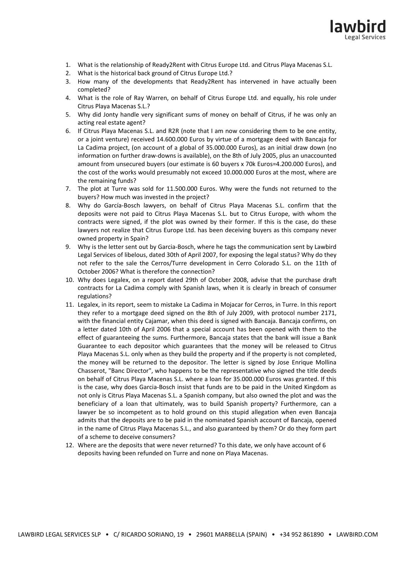

- 1. What is the relationship of Ready2Rent with Citrus Europe Ltd. and Citrus Playa Macenas S.L.
- 2. What is the historical back ground of Citrus Europe Ltd.?
- 3. How many of the developments that Ready2Rent has intervened in have actually been completed?
- 4. What is the role of Ray Warren, on behalf of Citrus Europe Ltd. and equally, his role under Citrus Playa Macenas S.L.?
- 5. Why did Jonty handle very significant sums of money on behalf of Citrus, if he was only an acting real estate agent?
- 6. If Citrus Playa Macenas S.L. and R2R (note that I am now considering them to be one entity, or a joint venture) received 14.600.000 Euros by virtue of a mortgage deed with Bancaja for La Cadima project, (on account of a global of 35.000.000 Euros), as an initial draw down (no information on further draw-downs is available), on the 8th of July 2005, plus an unaccounted amount from unsecured buyers (our estimate is 60 buyers x 70k Euros=4.200.000 Euros), and the cost of the works would presumably not exceed 10.000.000 Euros at the most, where are the remaining funds?
- 7. The plot at Turre was sold for 11.500.000 Euros. Why were the funds not returned to the buyers? How much was invested in the project?
- 8. Why do García-Bosch lawyers, on behalf of Citrus Playa Macenas S.L. confirm that the deposits were not paid to Citrus Playa Macenas S.L. but to Citrus Europe, with whom the contracts were signed, if the plot was owned by their former. If this is the case, do these lawyers not realize that Citrus Europe Ltd. has been deceiving buyers as this company never owned property in Spain?
- 9. Why is the letter sent out by Garcia-Bosch, where he tags the communication sent by Lawbird Legal Services of libelous, dated 30th of April 2007, for exposing the legal status? Why do they not refer to the sale the Cerros/Turre development in Cerro Colorado S.L. on the 11th of October 2006? What is therefore the connection?
- 10. Why does Legalex, on a report dated 29th of October 2008, advise that the purchase draft contracts for La Cadima comply with Spanish laws, when it is clearly in breach of consumer regulations?
- 11. Legalex, in its report, seem to mistake La Cadima in Mojacar for Cerros, in Turre. In this report they refer to a mortgage deed signed on the 8th of July 2009, with protocol number 2171, with the financial entity Cajamar, when this deed is signed with Bancaja. Bancaja confirms, on a letter dated 10th of April 2006 that a special account has been opened with them to the effect of guaranteeing the sums. Furthermore, Bancaja states that the bank will issue a Bank Guarantee to each depositor which guarantees that the money will be released to Citrus Playa Macenas S.L. only when as they build the property and if the property is not completed, the money will be returned to the depositor. The letter is signed by Jose Enrique Mollina Chasserot, "Banc Director", who happens to be the representative who signed the title deeds on behalf of Citrus Playa Macenas S.L. where a loan for 35.000.000 Euros was granted. If this is the case, why does Garcia-Bosch insist that funds are to be paid in the United Kingdom as not only is Citrus Playa Macenas S.L. a Spanish company, but also owned the plot and was the beneficiary of a loan that ultimately, was to build Spanish property? Furthermore, can a lawyer be so incompetent as to hold ground on this stupid allegation when even Bancaja admits that the deposits are to be paid in the nominated Spanish account of Bancaja, opened in the name of Citrus Playa Macenas S.L., and also guaranteed by them? Or do they form part of a scheme to deceive consumers?
- 12. Where are the deposits that were never returned? To this date, we only have account of 6 deposits having been refunded on Turre and none on Playa Macenas.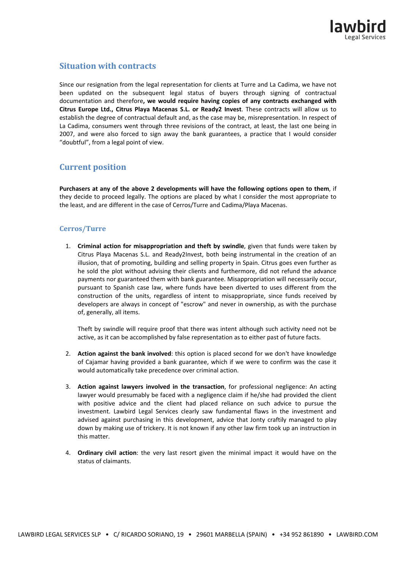

# **Situation with contracts**

Since our resignation from the legal representation for clients at Turre and La Cadima, we have not been updated on the subsequent legal status of buyers through signing of contractual documentation and therefore**, we would require having copies of any contracts exchanged with Citrus Europe Ltd., Citrus Playa Macenas S.L. or Ready2 Invest**. These contracts will allow us to establish the degree of contractual default and, as the case may be, misrepresentation. In respect of La Cadima, consumers went through three revisions of the contract, at least, the last one being in 2007, and were also forced to sign away the bank guarantees, a practice that I would consider "doubtful", from a legal point of view.

## **Current position**

**Purchasers at any of the above 2 developments will have the following options open to them**, if they decide to proceed legally. The options are placed by what I consider the most appropriate to the least, and are different in the case of Cerros/Turre and Cadima/Playa Macenas.

### **Cerros/Turre**

1. **Criminal action for misappropriation and theft by swindle**, given that funds were taken by Citrus Playa Macenas S.L. and Ready2Invest, both being instrumental in the creation of an illusion, that of promoting, building and selling property in Spain. Citrus goes even further as he sold the plot without advising their clients and furthermore, did not refund the advance payments nor guaranteed them with bank guarantee. Misappropriation will necessarily occur, pursuant to Spanish case law, where funds have been diverted to uses different from the construction of the units, regardless of intent to misappropriate, since funds received by developers are always in concept of "escrow" and never in ownership, as with the purchase of, generally, all items.

Theft by swindle will require proof that there was intent although such activity need not be active, as it can be accomplished by false representation as to either past of future facts.

- 2. **Action against the bank involved**: this option is placed second for we don't have knowledge of Cajamar having provided a bank guarantee, which if we were to confirm was the case it would automatically take precedence over criminal action.
- 3. **Action against lawyers involved in the transaction**, for professional negligence: An acting lawyer would presumably be faced with a negligence claim if he/she had provided the client with positive advice and the client had placed reliance on such advice to pursue the investment. Lawbird Legal Services clearly saw fundamental flaws in the investment and advised against purchasing in this development, advice that Jonty craftily managed to play down by making use of trickery. It is not known if any other law firm took up an instruction in this matter.
- 4. **Ordinary civil action**: the very last resort given the minimal impact it would have on the status of claimants.